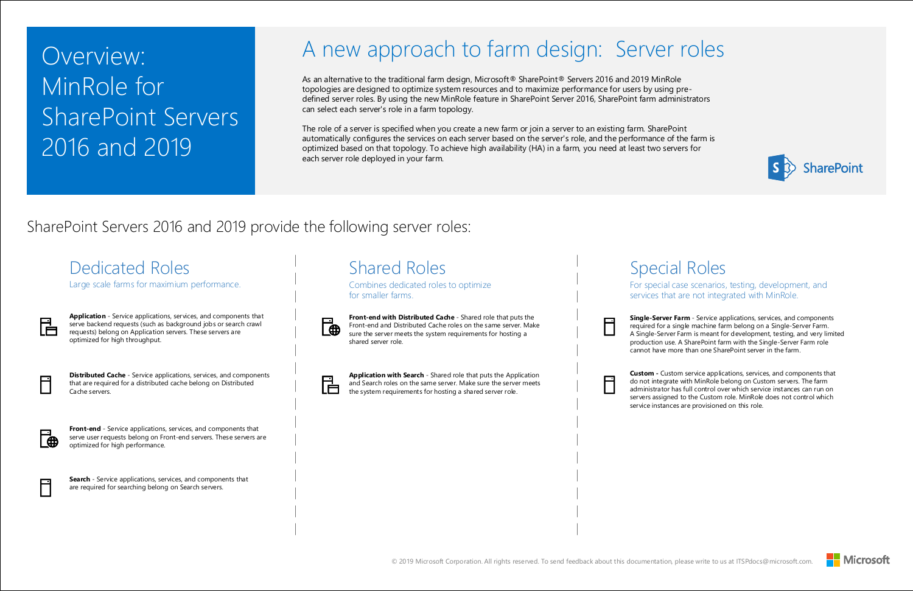# Overview: MinRole for SharePoint Servers 2016 and 2019



ial Roles

case scenarios, testing, development, and at are not integrated with MinRole.

**r Farm** - Service applications, services, and components required for a single-Server Farm. er Farm is meant for development, testing, and very limited se. A SharePoint farm with the Single-Server Farm role more than one SharePoint server in the farm.

stom service applications, services, and components that ate with MinRole belong on Custom servers. The farm rhas full control over which service instances can run on ned to the Custom role. MinRole does not control which ces are provisioned on this role.



### SharePoint Servers 2016 and 2019 provide the following server roles:

As an alternative to the traditional farm design, Microsoft<sup>®</sup> SharePoint<sup>®</sup> Servers 2016 and 2019 MinRole topologies are designed to optimize system resources and to maximize performance for users by using predefined server roles. By using the new MinRole feature in SharePoint Server 2016, SharePoint farm administrators can select each server's role in a farm topology.

The role of a server is specified when you create a new farm or join a server to an existing farm. SharePoint automatically configures the services on each server based on the server's role, and the performance of the farm is optimized based on that topology. To achieve high availability (HA) in a farm, you need at least two servers for each server role deployed in your farm.

### A new approach to farm design: Server roles

|          | <b>Dedicated Roles</b><br>Large scale farms for maximium performance.                                                                                                                                                                |                | <b>Shared Roles</b><br>Combines dedicated roles to optimize<br>for smaller farms.                                                                                                                                    | peci<br>For special<br>services the                                                      |
|----------|--------------------------------------------------------------------------------------------------------------------------------------------------------------------------------------------------------------------------------------|----------------|----------------------------------------------------------------------------------------------------------------------------------------------------------------------------------------------------------------------|------------------------------------------------------------------------------------------|
| Ğ        | Application - Service applications, services, and components that<br>serve backend requests (such as background jobs or search crawl<br>requests) belong on Application servers. These servers are<br>optimized for high throughput. | $\bigoplus$    | Front-end with Distributed Cache - Shared role that puts the<br>Front-end and Distributed Cache roles on the same server. Make<br>sure the server meets the system requirements for hosting a<br>shared server role. | <b>Single-Serve</b><br>required for a<br>A Single-Serv<br>production us<br>cannot have r |
|          | <b>Distributed Cache</b> - Service applications, services, and components<br>that are required for a distributed cache belong on Distributed<br>Cache servers.                                                                       | $\blacksquare$ | Application with Search - Shared role that puts the Application<br>and Search roles on the same server. Make sure the server meets<br>the system requirements for hosting a shared server role.                      | Custom - Cus<br>do not integr<br>administrator<br>servers assign<br>service instan       |
| $\oplus$ | Front-end - Service applications, services, and components that<br>serve user requests belong on Front-end servers. These servers are<br>optimized for high performance.                                                             |                |                                                                                                                                                                                                                      |                                                                                          |
|          | Search - Service applications, services, and components that<br>are required for searching belong on Search servers.                                                                                                                 |                |                                                                                                                                                                                                                      |                                                                                          |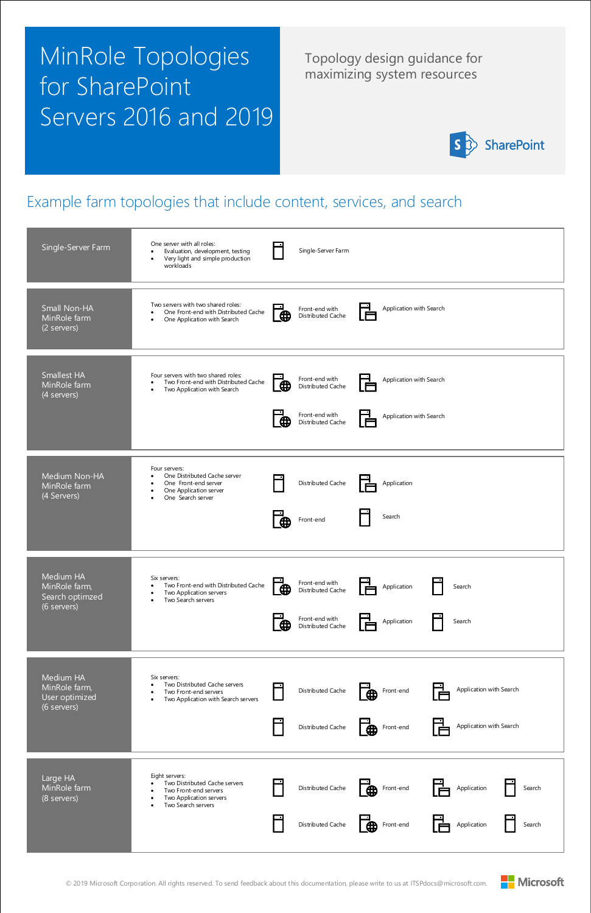

#### Example farm topologies that include content, services, and search

Topology design guidance for maximizing system resources



# MinRole Topologies for SharePoint Servers 2016 and 2019



| Single-Server Farm                                           | One server with all roles:<br>Single-Server Farm<br>Evaluation, development, testing<br>$\bullet$<br>Very light and simple production<br>$\bullet$<br>workloads                                                                                                                    |
|--------------------------------------------------------------|------------------------------------------------------------------------------------------------------------------------------------------------------------------------------------------------------------------------------------------------------------------------------------|
| Small Non-HA<br>MinRole farm<br>(2 servers)                  | Two servers with two shared roles:<br>Application with Search<br>Front-end with<br>One Front-end with Distributed Cache<br>$\bullet$<br>⊕<br>Distributed Cache<br>One Application with Search<br>$\bullet$                                                                         |
| <b>Smallest HA</b><br>MinRole farm<br>$\sqrt{4}$ servers)    | Four servers with two shared roles:<br>Front-end with<br>Application with Search<br>Two Front-end with Distributed Cache<br>$\bullet$<br>⊕<br>Distributed Cache<br>Two Application with Search<br>$\bullet$<br>Front-end with<br>Application with Search<br>⊕<br>Distributed Cache |
| Medium Non-HA<br>MinRole farm<br>(4 Servers)                 | Four servers:<br>One Distributed Cache server<br>Distributed Cache<br>One Front-end server<br>Application<br>$\bullet$<br>One Application server<br>$\bullet$<br>One Search server<br>$\bullet$<br>Search<br>Front-end<br>⊕                                                        |
| Medium HA<br>MinRole farm,<br>Search optimzed<br>(6 servers) | Six servers:<br>Front-end with<br>Two Front-end with Distributed Cache<br>$\bullet$<br>Application<br>Search<br>⊕<br>Distributed Cache<br>Two Application servers<br>٠<br>Two Search servers<br>$\bullet$<br>Front-end with<br>Application<br>Search<br>₩<br>Distributed Cache     |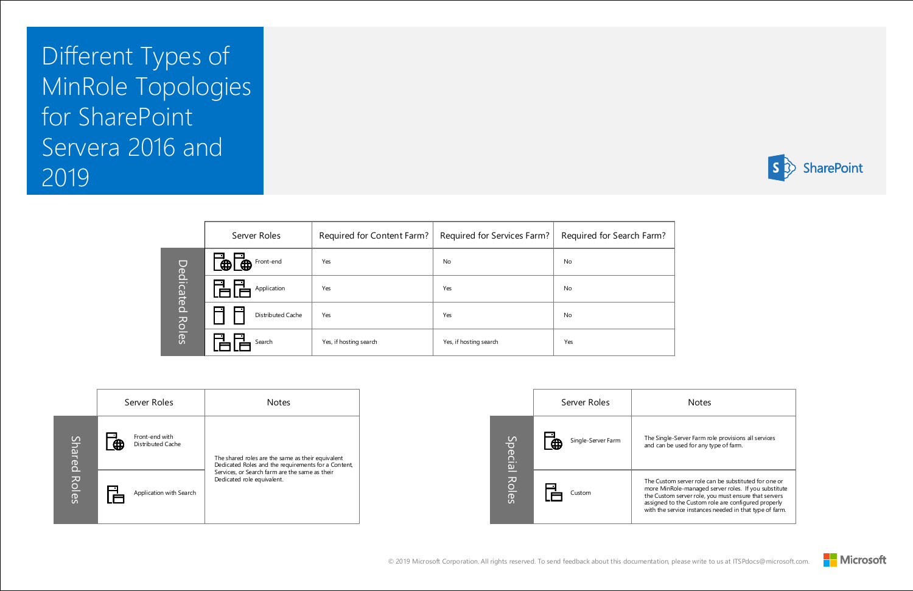



#### Notes

-Server Farm role provisions all services e used for any type of farm.

m server role can be substituted for one or Role-managed server roles. If you substitute om server role, you must ensure that servers to the Custom role are configured properly ervice instances needed in that type of farm.



Different Types of MinRole Topologies for SharePoint Servera 2016 and 2019

|              | Server Roles                  | Required for Content Farm? | Required for Services Farm? | Required for Search Farm? |
|--------------|-------------------------------|----------------------------|-----------------------------|---------------------------|
| Dedicated    | Front-end<br>⊕<br>$\bigoplus$ | Yes                        | <b>No</b>                   | No                        |
|              | Application                   | Yes                        | Yes                         | No                        |
|              | Distributed Cache             | Yes                        | Yes                         | No                        |
| <b>Roles</b> | Search                        | Yes, if hosting search     | Yes, if hosting search      | Yes                       |

|              | Server Roles            |                                                                              | <b>Notes</b>                                                                                             |
|--------------|-------------------------|------------------------------------------------------------------------------|----------------------------------------------------------------------------------------------------------|
|              | $\mathbf{u}$            | Front-end with<br>Distributed Cache                                          | The shared roles are the same as their equivalent<br>Dedicated Roles and the requirements for a Content, |
| Shared Roles | Application with Search | Services, or Search farm are the same as their<br>Dedicated role equivalent. |                                                                                                          |

|               | Server Roles |                    |                                                                    |
|---------------|--------------|--------------------|--------------------------------------------------------------------|
|               | $\bigoplus$  | Single-Server Farm | The Single<br>and can be                                           |
| Special Roles |              | Custom             | The Custor<br>more Minl<br>the Custor<br>assigned t<br>with the se |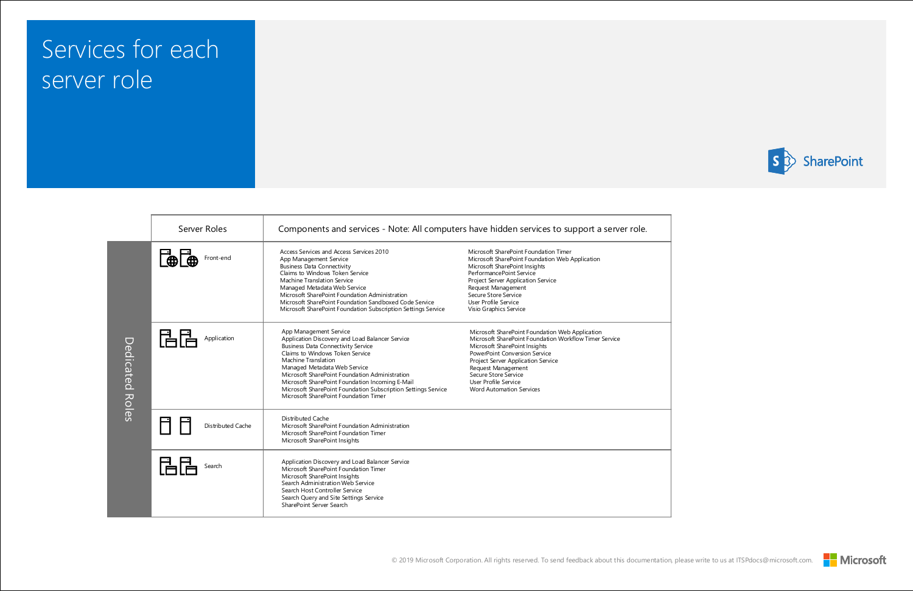



### Services for each server role

|                 | Server Roles      | Components and services - Note: All computers have hidden services to support a server role.                                                                                                                                                                                                                                                                                                                                    |                                                                                                                                                                                                                                                                                                                            |
|-----------------|-------------------|---------------------------------------------------------------------------------------------------------------------------------------------------------------------------------------------------------------------------------------------------------------------------------------------------------------------------------------------------------------------------------------------------------------------------------|----------------------------------------------------------------------------------------------------------------------------------------------------------------------------------------------------------------------------------------------------------------------------------------------------------------------------|
|                 | Front-end         | Access Services and Access Services 2010<br>App Management Service<br><b>Business Data Connectivity</b><br>Claims to Windows Token Service<br>Machine Translation Service<br>Managed Metadata Web Service<br>Microsoft SharePoint Foundation Administration<br>Microsoft SharePoint Foundation Sandboxed Code Service<br>Microsoft SharePoint Foundation Subscription Settings Service                                          | Microsoft SharePoint Foundation Timer<br>Microsoft SharePoint Foundation Web Application<br>Microsoft SharePoint Insights<br>PerformancePoint Service<br>Project Server Application Service<br>Request Management<br>Secure Store Service<br>User Profile Service<br>Visio Graphics Service                                |
| Dedicated Roles | Application       | App Management Service<br>Application Discovery and Load Balancer Service<br><b>Business Data Connectivity Service</b><br>Claims to Windows Token Service<br>Machine Translation<br>Managed Metadata Web Service<br>Microsoft SharePoint Foundation Administration<br>Microsoft SharePoint Foundation Incoming E-Mail<br>Microsoft SharePoint Foundation Subscription Settings Service<br>Microsoft SharePoint Foundation Timer | Microsoft SharePoint Foundation Web Application<br>Microsoft SharePoint Foundation Workflow Timer Service<br>Microsoft SharePoint Insights<br>PowerPoint Conversion Service<br>Project Server Application Service<br>Request Management<br>Secure Store Service<br>User Profile Service<br><b>Word Automation Services</b> |
|                 | Distributed Cache | Distributed Cache<br>Microsoft SharePoint Foundation Administration<br>Microsoft SharePoint Foundation Timer<br>Microsoft SharePoint Insights                                                                                                                                                                                                                                                                                   |                                                                                                                                                                                                                                                                                                                            |
|                 | Search            | Application Discovery and Load Balancer Service<br>Microsoft SharePoint Foundation Timer<br>Microsoft SharePoint Insights<br>Search Administration Web Service<br>Search Host Controller Service<br>Search Query and Site Settings Service<br>SharePoint Server Search                                                                                                                                                          |                                                                                                                                                                                                                                                                                                                            |